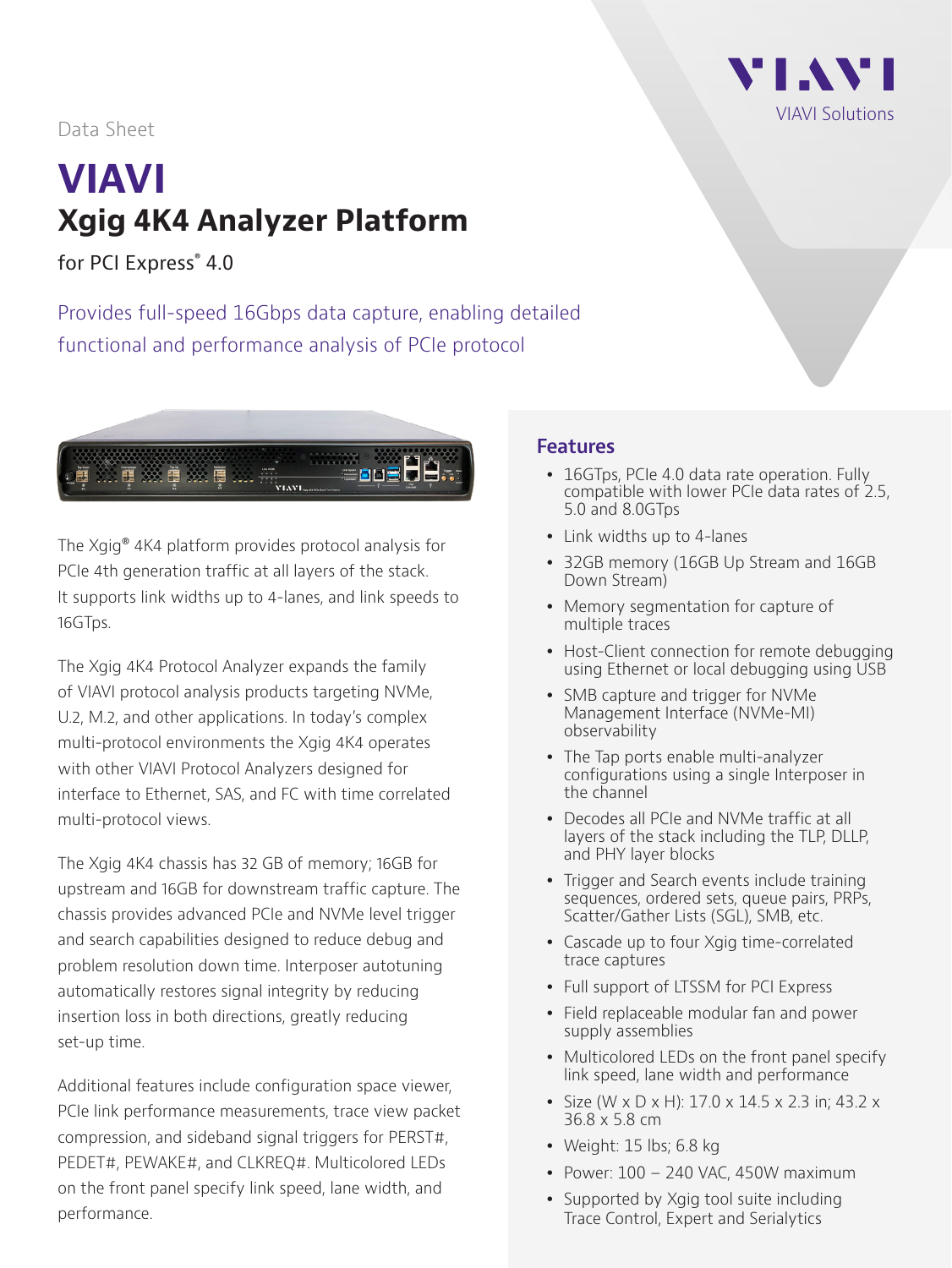## VI AVI VIAVI Solutions

#### Data Sheet

# **VIAVI Xgig 4K4 Analyzer Platform**

for PCI Express® 4.0

Provides full-speed 16Gbps data capture, enabling detailed functional and performance analysis of PCIe protocol



The Xgig® 4K4 platform provides protocol analysis for PCIe 4th generation traffic at all layers of the stack. It supports link widths up to 4-lanes, and link speeds to 16GTps.

The Xgig 4K4 Protocol Analyzer expands the family of VIAVI protocol analysis products targeting NVMe, U.2, M.2, and other applications. In today's complex multi-protocol environments the Xgig 4K4 operates with other VIAVI Protocol Analyzers designed for interface to Ethernet, SAS, and FC with time correlated multi-protocol views.

The Xgig 4K4 chassis has 32 GB of memory; 16GB for upstream and 16GB for downstream traffic capture. The chassis provides advanced PCIe and NVMe level trigger and search capabilities designed to reduce debug and problem resolution down time. Interposer autotuning automatically restores signal integrity by reducing insertion loss in both directions, greatly reducing set-up time.

Additional features include configuration space viewer, PCIe link performance measurements, trace view packet compression, and sideband signal triggers for PERST#, PEDET#, PEWAKE#, and CLKREQ#. Multicolored LEDs on the front panel specify link speed, lane width, and performance.

#### **Features**

- 16GTps, PCIe 4.0 data rate operation. Fully compatible with lower PCIe data rates of 2.5, 5.0 and 8.0GTps
- Link widths up to 4-lanes
- 32GB memory (16GB Up Stream and 16GB Down Stream)
- Memory segmentation for capture of multiple traces
- Host-Client connection for remote debugging using Ethernet or local debugging using USB
- SMB capture and trigger for NVMe Management Interface (NVMe-MI) observability
- The Tap ports enable multi-analyzer configurations using a single Interposer in the channel
- Decodes all PCIe and NVMe traffic at all layers of the stack including the TLP, DLLP, and PHY layer blocks
- Trigger and Search events include training sequences, ordered sets, queue pairs, PRPs, Scatter/Gather Lists (SGL), SMB, etc.
- Cascade up to four Xgig time-correlated trace captures
- Full support of LTSSM for PCI Express
- Field replaceable modular fan and power supply assemblies
- Multicolored LEDs on the front panel specify link speed, lane width and performance
- y Size (W x D x H): 17.0 x 14.5 x 2.3 in; 43.2 x 36.8 x 5.8 cm
- Weight:  $15$  lbs;  $6.8$  kg
- Power:  $100 240$  VAC, 450W maximum
- Supported by Xgig tool suite including Trace Control, Expert and Serialytics